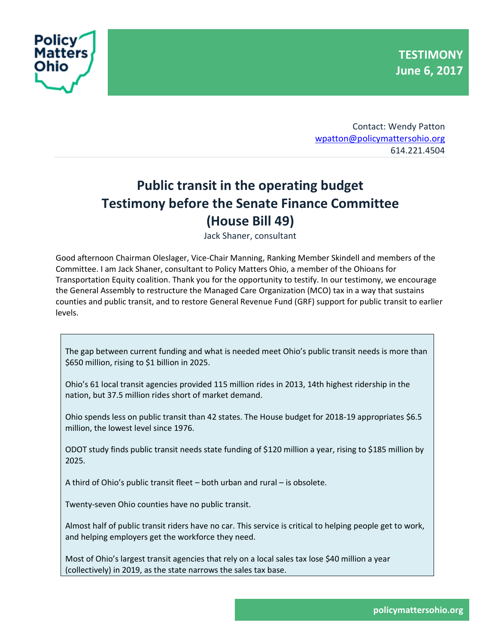



Contact: Wendy Patton [wpatton@policymattersohio.org](mailto:wpatton@policymattersohio.org) 614.221.4504

## **Public transit in the operating budget Testimony before the Senate Finance Committee (House Bill 49)**

Jack Shaner, consultant

Good afternoon Chairman Oleslager, Vice-Chair Manning, Ranking Member Skindell and members of the Committee. I am Jack Shaner, consultant to Policy Matters Ohio, a member of the Ohioans for Transportation Equity coalition. Thank you for the opportunity to testify. In our testimony, we encourage the General Assembly to restructure the Managed Care Organization (MCO) tax in a way that sustains counties and public transit, and to restore General Revenue Fund (GRF) support for public transit to earlier levels.

The gap between current funding and what is needed meet Ohio's public transit needs is more than \$650 million, rising to \$1 billion in 2025.

Ohio's 61 local transit agencies provided 115 million rides in 2013, 14th highest ridership in the nation, but 37.5 million rides short of market demand.

Ohio spends less on public transit than 42 states. The House budget for 2018-19 appropriates \$6.5 million, the lowest level since 1976.

ODOT study finds public transit needs state funding of \$120 million a year, rising to \$185 million by 2025.

A third of Ohio's public transit fleet – both urban and rural – is obsolete.

Twenty-seven Ohio counties have no public transit.

Almost half of public transit riders have no car. This service is critical to helping people get to work, and helping employers get the workforce they need.

Most of Ohio's largest transit agencies that rely on a local sales tax lose \$40 million a year (collectively) in 2019, as the state narrows the sales tax base.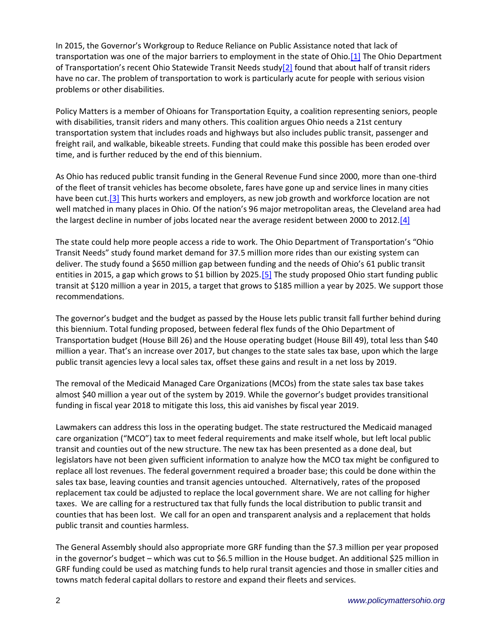In 2015, the Governor's Workgroup to Reduce Reliance on Public Assistance noted that lack of transportation was one of the major barriers to employment in the state of Ohio[.\[1\]](https://www.policymattersohio.org/research-policy/quality-ohio/revenue-budget/policy-matters-testifies-before-the-house-finance-committee#_ftn1) The Ohio Department of Transportation's recent Ohio Statewide Transit Needs stud[y\[2\]](https://www.policymattersohio.org/research-policy/quality-ohio/revenue-budget/policy-matters-testifies-before-the-house-finance-committee#_ftn2) found that about half of transit riders have no car. The problem of transportation to work is particularly acute for people with serious vision problems or other disabilities.

Policy Matters is a member of Ohioans for Transportation Equity, a coalition representing seniors, people with disabilities, transit riders and many others. This coalition argues Ohio needs a 21st century transportation system that includes roads and highways but also includes public transit, passenger and freight rail, and walkable, bikeable streets. Funding that could make this possible has been eroded over time, and is further reduced by the end of this biennium.

As Ohio has reduced public transit funding in the General Revenue Fund since 2000, more than one-third of the fleet of transit vehicles has become obsolete, fares have gone up and service lines in many cities have been cut.<sup>[3]</sup> This hurts workers and employers, as new job growth and workforce location are not well matched in many places in Ohio. Of the nation's 96 major metropolitan areas, the Cleveland area had the largest decline in number of jobs located near the average resident between 2000 to 2012[.\[4\]](https://www.policymattersohio.org/research-policy/quality-ohio/revenue-budget/policy-matters-testifies-before-the-house-finance-committee#_ftn4)

The state could help more people access a ride to work. The Ohio Department of Transportation's "Ohio Transit Needs" study found market demand for 37.5 million more rides than our existing system can deliver. The study found a \$650 million gap between funding and the needs of Ohio's 61 public transit entities in 2015, a gap which grows to \$1 billion by 2025[.\[5\]](https://www.policymattersohio.org/research-policy/quality-ohio/revenue-budget/policy-matters-testifies-before-the-house-finance-committee#_ftn5) The study proposed Ohio start funding public transit at \$120 million a year in 2015, a target that grows to \$185 million a year by 2025. We support those recommendations.

The governor's budget and the budget as passed by the House lets public transit fall further behind during this biennium. Total funding proposed, between federal flex funds of the Ohio Department of Transportation budget (House Bill 26) and the House operating budget (House Bill 49), total less than \$40 million a year. That's an increase over 2017, but changes to the state sales tax base, upon which the large public transit agencies levy a local sales tax, offset these gains and result in a net loss by 2019.

The removal of the Medicaid Managed Care Organizations (MCOs) from the state sales tax base takes almost \$40 million a year out of the system by 2019. While the governor's budget provides transitional funding in fiscal year 2018 to mitigate this loss, this aid vanishes by fiscal year 2019.

Lawmakers can address this loss in the operating budget. The state restructured the Medicaid managed care organization ("MCO") tax to meet federal requirements and make itself whole, but left local public transit and counties out of the new structure. The new tax has been presented as a done deal, but legislators have not been given sufficient information to analyze how the MCO tax might be configured to replace all lost revenues. The federal government required a broader base; this could be done within the sales tax base, leaving counties and transit agencies untouched. Alternatively, rates of the proposed replacement tax could be adjusted to replace the local government share. We are not calling for higher taxes. We are calling for a restructured tax that fully funds the local distribution to public transit and counties that has been lost. We call for an open and transparent analysis and a replacement that holds public transit and counties harmless.

The General Assembly should also appropriate more GRF funding than the \$7.3 million per year proposed in the governor's budget – which was cut to \$6.5 million in the House budget. An additional \$25 million in GRF funding could be used as matching funds to help rural transit agencies and those in smaller cities and towns match federal capital dollars to restore and expand their fleets and services.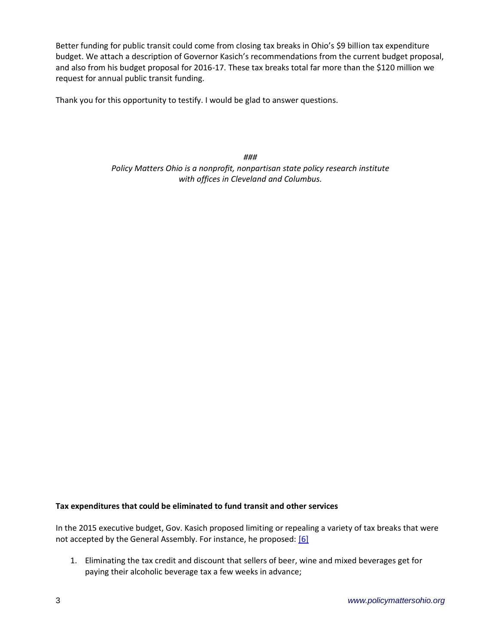Better funding for public transit could come from closing tax breaks in Ohio's \$9 billion tax expenditure budget. We attach a description of Governor Kasich's recommendations from the current budget proposal, and also from his budget proposal for 2016-17. These tax breaks total far more than the \$120 million we request for annual public transit funding.

Thank you for this opportunity to testify. I would be glad to answer questions.

*### Policy Matters Ohio is a nonprofit, nonpartisan state policy research institute with offices in Cleveland and Columbus.*

## **Tax expenditures that could be eliminated to fund transit and other services**

In the 2015 executive budget, Gov. Kasich proposed limiting or repealing a variety of tax breaks that were not accepted by the General Assembly. For instance, he proposed: [\[6\]](https://www.policymattersohio.org/research-policy/quality-ohio/revenue-budget/policy-matters-testifies-before-the-house-finance-committee#_ftn6)

1. Eliminating the tax credit and discount that sellers of beer, wine and mixed beverages get for paying their alcoholic beverage tax a few weeks in advance;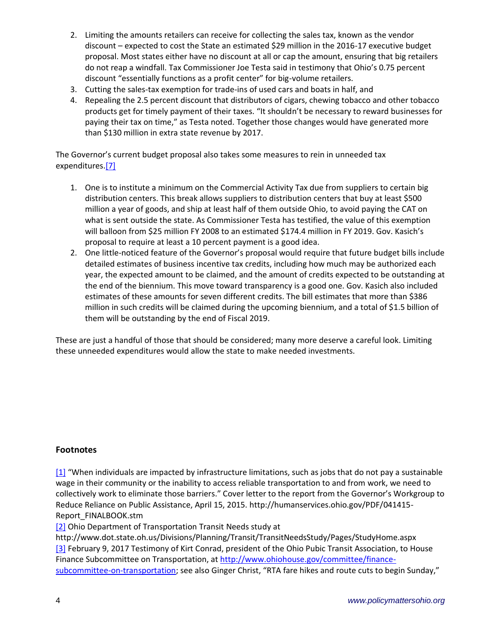- 2. Limiting the amounts retailers can receive for collecting the sales tax, known as the vendor discount – expected to cost the State an estimated \$29 million in the 2016-17 executive budget proposal. Most states either have no discount at all or cap the amount, ensuring that big retailers do not reap a windfall. Tax Commissioner Joe Testa said in testimony that Ohio's 0.75 percent discount "essentially functions as a profit center" for big-volume retailers.
- 3. Cutting the sales-tax exemption for trade-ins of used cars and boats in half, and
- 4. Repealing the 2.5 percent discount that distributors of cigars, chewing tobacco and other tobacco products get for timely payment of their taxes. "It shouldn't be necessary to reward businesses for paying their tax on time," as Testa noted. Together those changes would have generated more than \$130 million in extra state revenue by 2017.

The Governor's current budget proposal also takes some measures to rein in unneeded tax expenditures[.\[7\]](https://www.policymattersohio.org/research-policy/quality-ohio/revenue-budget/policy-matters-testifies-before-the-house-finance-committee#_ftn7)

- 1. One is to institute a minimum on the Commercial Activity Tax due from suppliers to certain big distribution centers. This break allows suppliers to distribution centers that buy at least \$500 million a year of goods, and ship at least half of them outside Ohio, to avoid paying the CAT on what is sent outside the state. As Commissioner Testa has testified, the value of this exemption will balloon from \$25 million FY 2008 to an estimated \$174.4 million in FY 2019. Gov. Kasich's proposal to require at least a 10 percent payment is a good idea.
- 2. One little-noticed feature of the Governor's proposal would require that future budget bills include detailed estimates of business incentive tax credits, including how much may be authorized each year, the expected amount to be claimed, and the amount of credits expected to be outstanding at the end of the biennium. This move toward transparency is a good one. Gov. Kasich also included estimates of these amounts for seven different credits. The bill estimates that more than \$386 million in such credits will be claimed during the upcoming biennium, and a total of \$1.5 billion of them will be outstanding by the end of Fiscal 2019.

These are just a handful of those that should be considered; many more deserve a careful look. Limiting these unneeded expenditures would allow the state to make needed investments.

## **Footnotes**

[\[1\]](https://www.policymattersohio.org/research-policy/quality-ohio/revenue-budget/policy-matters-testifies-before-the-house-finance-committee#_ftnref1) "When individuals are impacted by infrastructure limitations, such as jobs that do not pay a sustainable wage in their community or the inability to access reliable transportation to and from work, we need to collectively work to eliminate those barriers." Cover letter to the report from the Governor's Workgroup to Reduce Reliance on Public Assistance, April 15, 2015. http://humanservices.ohio.gov/PDF/041415- Report\_FINALBOOK.stm

[\[2\]](https://www.policymattersohio.org/research-policy/quality-ohio/revenue-budget/policy-matters-testifies-before-the-house-finance-committee#_ftnref2) Ohio Department of Transportation Transit Needs study at

http://www.dot.state.oh.us/Divisions/Planning/Transit/TransitNeedsStudy/Pages/StudyHome.aspx [\[3\]](https://www.policymattersohio.org/research-policy/quality-ohio/revenue-budget/policy-matters-testifies-before-the-house-finance-committee#_ftnref3) February 9, 2017 Testimony of Kirt Conrad, president of the Ohio Pubic Transit Association, to House Finance Subcommittee on Transportation, at [http://www.ohiohouse.gov/committee/finance](http://www.ohiohouse.gov/committee/finance-subcommittee-on-transportation)[subcommittee-on-transportation](http://www.ohiohouse.gov/committee/finance-subcommittee-on-transportation); see also Ginger Christ, "RTA fare hikes and route cuts to begin Sunday,"